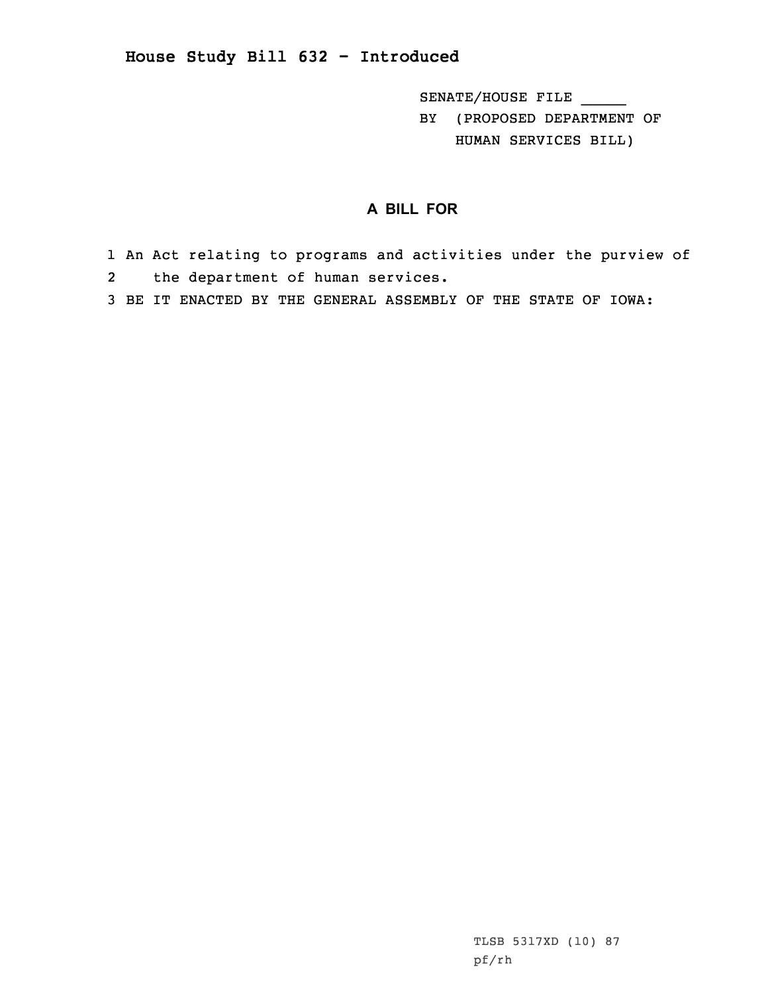## **House Study Bill 632 - Introduced**

SENATE/HOUSE FILE \_\_\_\_\_

BY (PROPOSED DEPARTMENT OF HUMAN SERVICES BILL)

## **A BILL FOR**

1 An Act relating to programs and activities under the purview of 2 the department of human services.

3 BE IT ENACTED BY THE GENERAL ASSEMBLY OF THE STATE OF IOWA: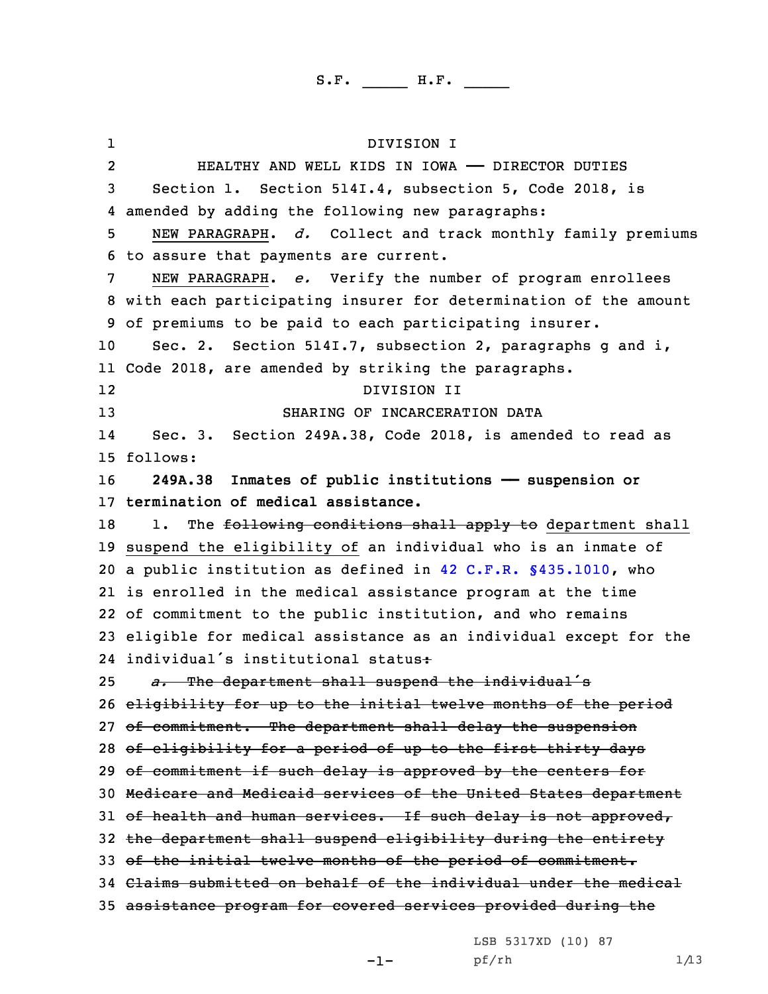1 DIVISION I 2 HEALTHY AND WELL KIDS IN IOWA —— DIRECTOR DUTIES Section 1. Section 514I.4, subsection 5, Code 2018, is amended by adding the following new paragraphs: NEW PARAGRAPH. *d.* Collect and track monthly family premiums to assure that payments are current. NEW PARAGRAPH. *e.* Verify the number of program enrollees with each participating insurer for determination of the amount of premiums to be paid to each participating insurer. Sec. 2. Section 514I.7, subsection 2, paragraphs g and i, Code 2018, are amended by striking the paragraphs. 12 DIVISION II SHARING OF INCARCERATION DATA 14 Sec. 3. Section 249A.38, Code 2018, is amended to read as 15 follows: **249A.38 Inmates of public institutions —— suspension or termination of medical assistance.** 18 1. The following conditions shall apply to department shall suspend the eligibility of an individual who is an inmate of <sup>a</sup> public institution as defined in 42 C.F.R. §435.1010, who is enrolled in the medical assistance program at the time of commitment to the public institution, and who remains eligible for medical assistance as an individual except for the individual's institutional status: *a.* The department shall suspend the individual's eligibility for up to the initial twelve months of the period 27 of commitment. The department shall delay the suspension 28 of eligibility for a period of up to the first thirty days 29 of commitment if such delay is approved by the centers for Medicare and Medicaid services of the United States department 31 of health and human services. If such delay is not approved, the department shall suspend eligibility during the entirety of the initial twelve months of the period of commitment. Claims submitted on behalf of the individual under the medical assistance program for covered services provided during the

LSB 5317XD (10) 87

pf/rh 1/13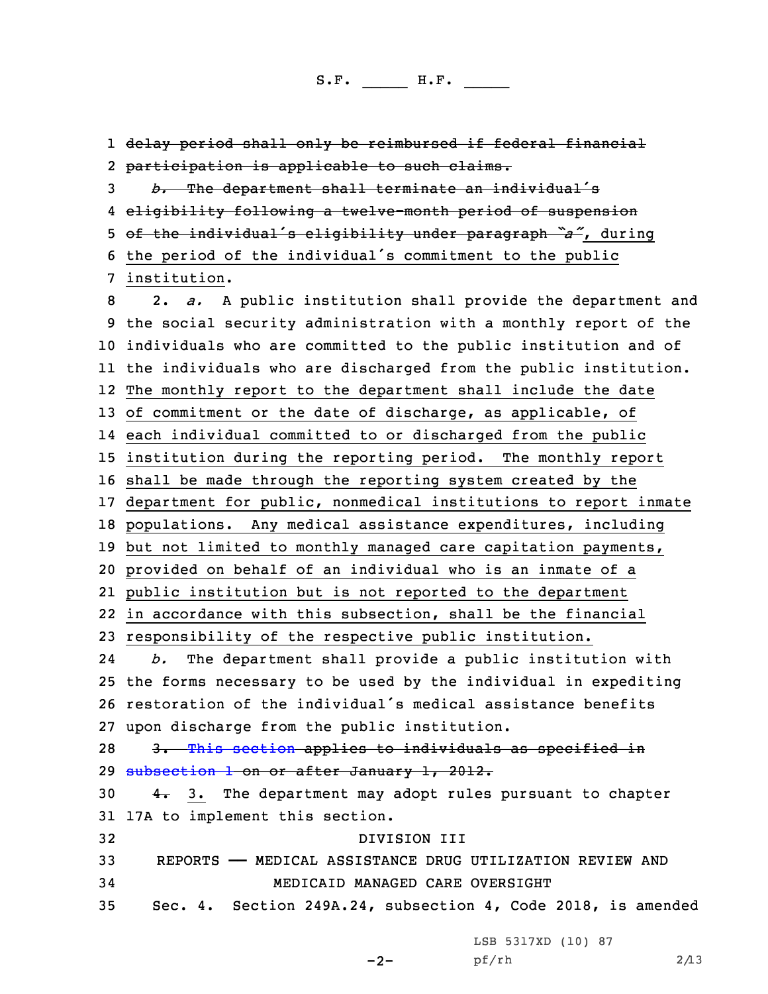delay period shall only be reimbursed if federal financial participation is applicable to such claims. *b.* The department shall terminate an individual's eligibility following <sup>a</sup> twelve-month period of suspension of the individual's eligibility under paragraph *"a"*, during the period of the individual's commitment to the public institution. 2. *a.* <sup>A</sup> public institution shall provide the department and the social security administration with <sup>a</sup> monthly report of the individuals who are committed to the public institution and of the individuals who are discharged from the public institution. The monthly report to the department shall include the date of commitment or the date of discharge, as applicable, of each individual committed to or discharged from the public institution during the reporting period. The monthly report shall be made through the reporting system created by the department for public, nonmedical institutions to report inmate populations. Any medical assistance expenditures, including but not limited to monthly managed care capitation payments, provided on behalf of an individual who is an inmate of <sup>a</sup> public institution but is not reported to the department in accordance with this subsection, shall be the financial responsibility of the respective public institution. 24 *b.* The department shall provide <sup>a</sup> public institution with the forms necessary to be used by the individual in expediting restoration of the individual's medical assistance benefits upon discharge from the public institution. 28 3. This [section](https://www.legis.iowa.gov/docs/code/2018/249A.38.pdf) applies to individuals as specified in [subsection](https://www.legis.iowa.gov/docs/code/2018/249A.38.pdf) 1 on or after January 1, 2012.  $4.$  3. The department may adopt rules pursuant to chapter 17A to implement this section. DIVISION III REPORTS —— MEDICAL ASSISTANCE DRUG UTILIZATION REVIEW AND MEDICAID MANAGED CARE OVERSIGHT Sec. 4. Section 249A.24, subsection 4, Code 2018, is amended

LSB 5317XD (10) 87

 $-2-$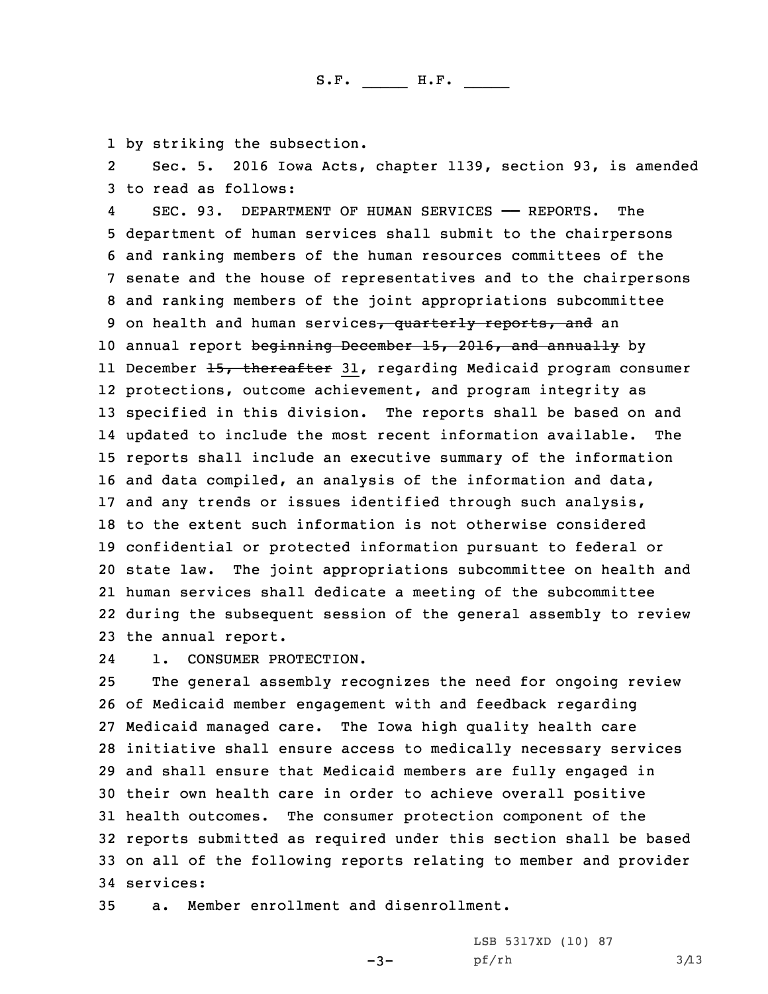1 by striking the subsection.

2 Sec. 5. 2016 Iowa Acts, chapter 1139, section 93, is amended 3 to read as follows:

4 SEC. 93. DEPARTMENT OF HUMAN SERVICES —— REPORTS. The department of human services shall submit to the chairpersons and ranking members of the human resources committees of the senate and the house of representatives and to the chairpersons and ranking members of the joint appropriations subcommittee 9 on health and human services, quarterly reports, and an 10 annual report beginning December 15, 2016, and annually by ll December <del>15, thereafter</del> 31, regarding Medicaid program consumer protections, outcome achievement, and program integrity as specified in this division. The reports shall be based on and updated to include the most recent information available. The reports shall include an executive summary of the information and data compiled, an analysis of the information and data, and any trends or issues identified through such analysis, to the extent such information is not otherwise considered confidential or protected information pursuant to federal or state law. The joint appropriations subcommittee on health and human services shall dedicate <sup>a</sup> meeting of the subcommittee during the subsequent session of the general assembly to review the annual report.

241. CONSUMER PROTECTION.

 The general assembly recognizes the need for ongoing review of Medicaid member engagement with and feedback regarding Medicaid managed care. The Iowa high quality health care initiative shall ensure access to medically necessary services and shall ensure that Medicaid members are fully engaged in their own health care in order to achieve overall positive health outcomes. The consumer protection component of the reports submitted as required under this section shall be based on all of the following reports relating to member and provider services:

-3-

35 a. Member enrollment and disenrollment.

LSB 5317XD (10) 87  $pf/rh$  3/13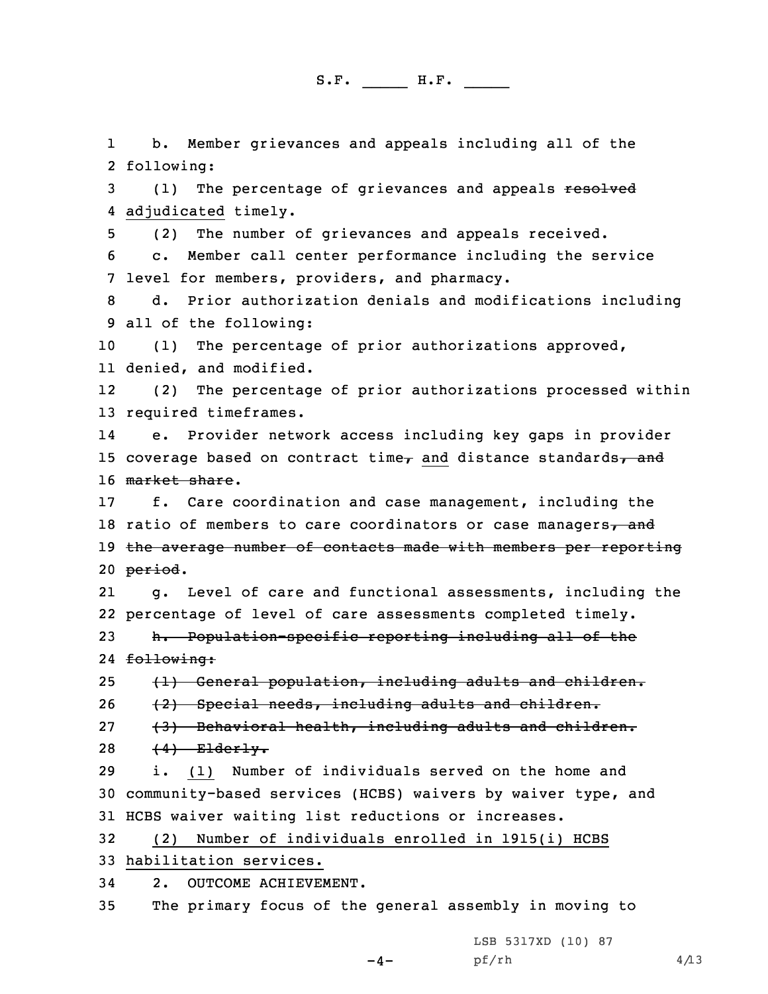1 b. Member grievances and appeals including all of the following: 3 (1) The percentage of grievances and appeals resolved adjudicated timely. (2) The number of grievances and appeals received. c. Member call center performance including the service level for members, providers, and pharmacy. d. Prior authorization denials and modifications including all of the following: (1) The percentage of prior authorizations approved, denied, and modified. 12 (2) The percentage of prior authorizations processed within required timeframes. 14 e. Provider network access including key gaps in provider 15 coverage based on contract time, and distance standards, and 16 market share. f. Care coordination and case management, including the 18 ratio of members to care coordinators or case managers $\tau$  and the average number of contacts made with members per reporting 20 period. 21 g. Level of care and functional assessments, including the percentage of level of care assessments completed timely. h. Population-specific reporting including all of the 24 <del>following:</del>  $(1)$  General population, including adults and children. (2) Special needs, including adults and children. 27 (3) Behavioral health, including adults and children.  $(4)$  Elderly. i. (1) Number of individuals served on the home and community-based services (HCBS) waivers by waiver type, and HCBS waiver waiting list reductions or increases. (2) Number of individuals enrolled in 1915(i) HCBS habilitation services. 2. OUTCOME ACHIEVEMENT. The primary focus of the general assembly in moving to

LSB 5317XD (10) 87

 $-4-$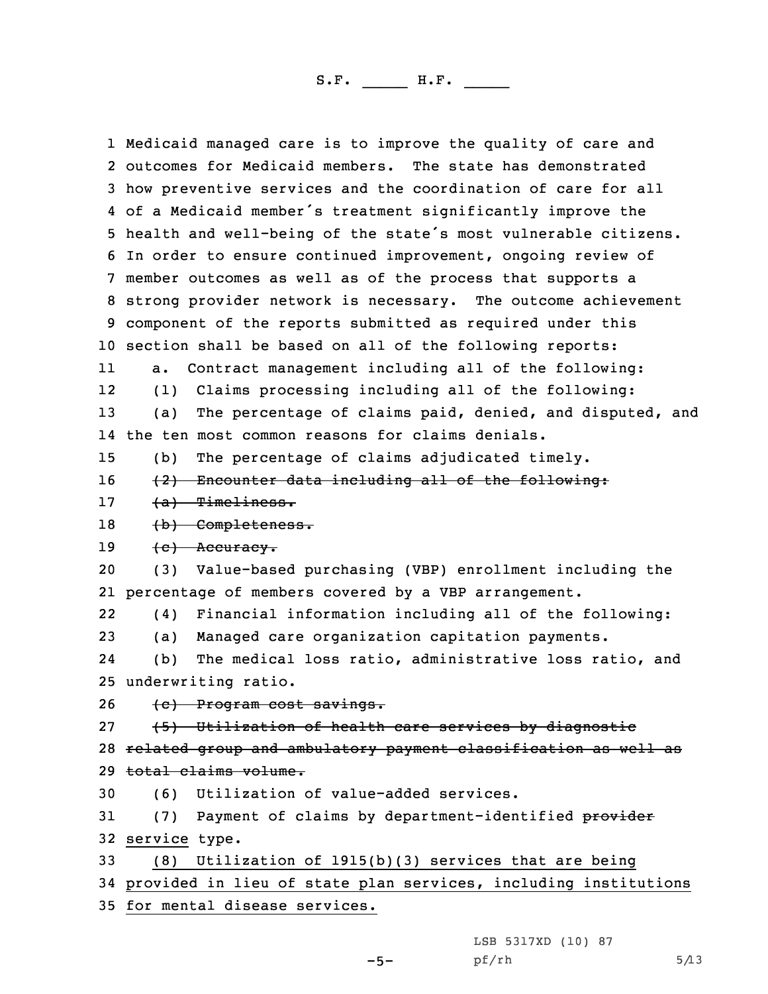Medicaid managed care is to improve the quality of care and outcomes for Medicaid members. The state has demonstrated how preventive services and the coordination of care for all of <sup>a</sup> Medicaid member's treatment significantly improve the health and well-being of the state's most vulnerable citizens. In order to ensure continued improvement, ongoing review of member outcomes as well as of the process that supports <sup>a</sup> strong provider network is necessary. The outcome achievement component of the reports submitted as required under this section shall be based on all of the following reports: 11 a. Contract management including all of the following: 12 (1) Claims processing including all of the following: (a) The percentage of claims paid, denied, and disputed, and the ten most common reasons for claims denials. (b) The percentage of claims adjudicated timely. 16 (2) Encounter data including all of the following: 17 (a) Timeliness. 18 (b) Completeness.  $(e)$  Accuracy. (3) Value-based purchasing (VBP) enrollment including the percentage of members covered by <sup>a</sup> VBP arrangement. 22 (4) Financial information including all of the following: (a) Managed care organization capitation payments. 24 (b) The medical loss ratio, administrative loss ratio, and underwriting ratio. (c) Program cost savings. 27 (5) Utilization of health care services by diagnostic related group and ambulatory payment classification as well as total claims volume. (6) Utilization of value-added services. 31 (7) Payment of claims by department-identified provider service type. (8) Utilization of 1915(b)(3) services that are being provided in lieu of state plan services, including institutions for mental disease services.

LSB 5317XD (10) 87

 $pf/rh$  5/13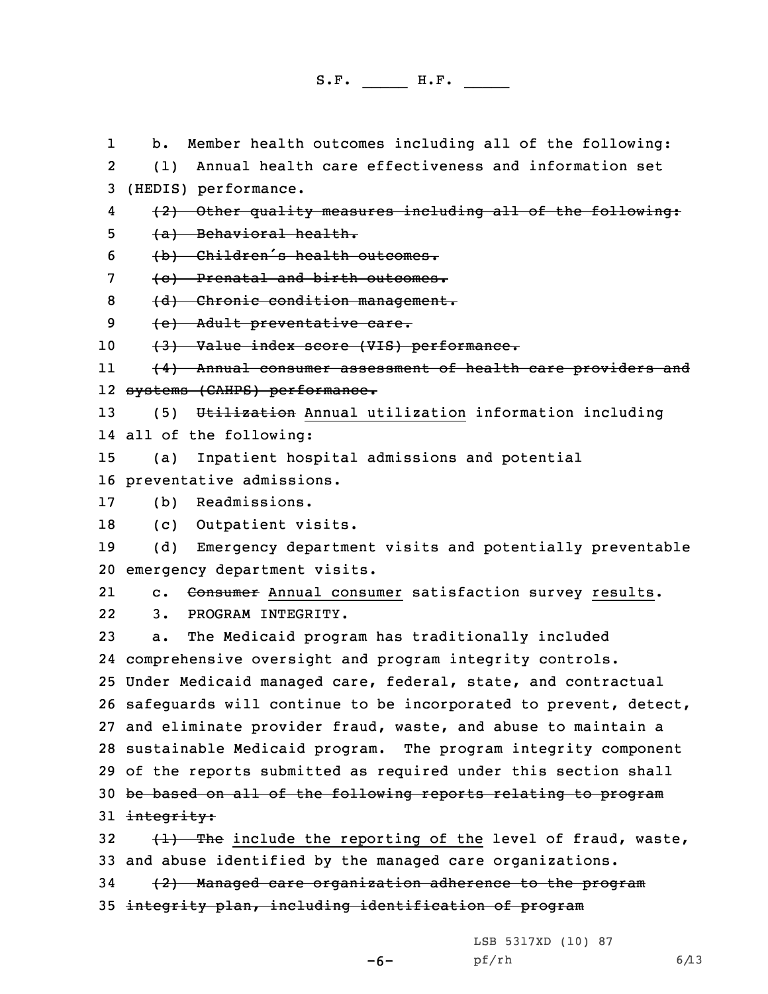1 b. Member health outcomes including all of the following: 2 (1) Annual health care effectiveness and information set 3 (HEDIS) performance. 4 (2) Other quality measures including all of the following: 5 (a) Behavioral health. <sup>6</sup> (b) Children's health outcomes. 7 (c) Prenatal and birth outcomes. 8 (d) Chronic condition management. 9 (e) Adult preventative care. 10 (3) Value index score (VIS) performance. 11 (4) Annual consumer assessment of health care providers and 12 <del>systems (CAHPS) performance.</del> 13 (5) Utilization Annual utilization information including 14 all of the following: 15 (a) Inpatient hospital admissions and potential 16 preventative admissions. 17 (b) Readmissions. 18 (c) Outpatient visits. 19 (d) Emergency department visits and potentially preventable 20 emergency department visits. 21c. Consumer Annual consumer satisfaction survey results. 22 3. PROGRAM INTEGRITY. 23 a. The Medicaid program has traditionally included 24 comprehensive oversight and program integrity controls. 25 Under Medicaid managed care, federal, state, and contractual 26 safeguards will continue to be incorporated to prevent, detect, 27 and eliminate provider fraud, waste, and abuse to maintain <sup>a</sup> 28 sustainable Medicaid program. The program integrity component 29 of the reports submitted as required under this section shall 30 be based on all of the following reports relating to program 31 integrity: 32  $(1)$  The include the reporting of the level of fraud, waste, 33 and abuse identified by the managed care organizations. 34 (2) Managed care organization adherence to the program 35 integrity plan, including identification of program

LSB 5317XD (10) 87

-6-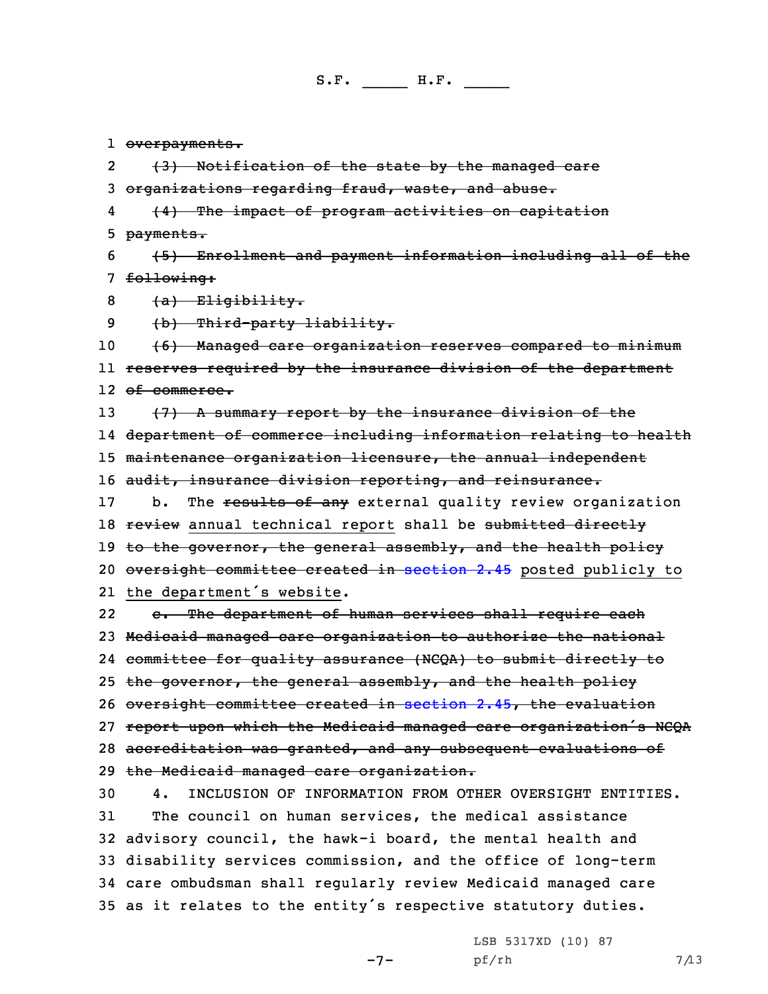l <del>overpayments.</del>

2(3) Notification of the state by the managed care

3 organizations regarding fraud, waste, and abuse.

4 (4) The impact of program activities on capitation 5 payments.

6 (5) Enrollment and payment information including all of the 7 following:

 $8$   $(a)$  Eligibility.

9 (b) Third-party liability.

10 (6) Managed care organization reserves compared to minimum 11 reserves required by the insurance division of the department 12 <del>of commerce.</del>

13 (7) A summary report by the insurance division of the 14 department of commerce including information relating to health 15 maintenance organization licensure, the annual independent 16 audit, insurance division reporting, and reinsurance.

17 b. The results of any external quality review organization 18 review annual technical report shall be submitted directly 19 to the governor, the general assembly, and the health policy 20 oversight committee created in [section](https://www.legis.iowa.gov/docs/code/2018/2.45.pdf) 2.45 posted publicly to 21 the department's website.

22 c. The department of human services shall require each Medicaid managed care organization to authorize the national committee for quality assurance (NCQA) to submit directly to 25 the governor, the general assembly, and the health policy oversight committee created in [section](https://www.legis.iowa.gov/docs/code/2018/2.45.pdf) 2.45, the evaluation report upon which the Medicaid managed care organization's NCQA accreditation was granted, and any subsequent evaluations of the Medicaid managed care organization.

 4. INCLUSION OF INFORMATION FROM OTHER OVERSIGHT ENTITIES. The council on human services, the medical assistance advisory council, the hawk-i board, the mental health and disability services commission, and the office of long-term care ombudsman shall regularly review Medicaid managed care as it relates to the entity's respective statutory duties.

-7-

LSB 5317XD (10) 87  $pf/rh$  7/13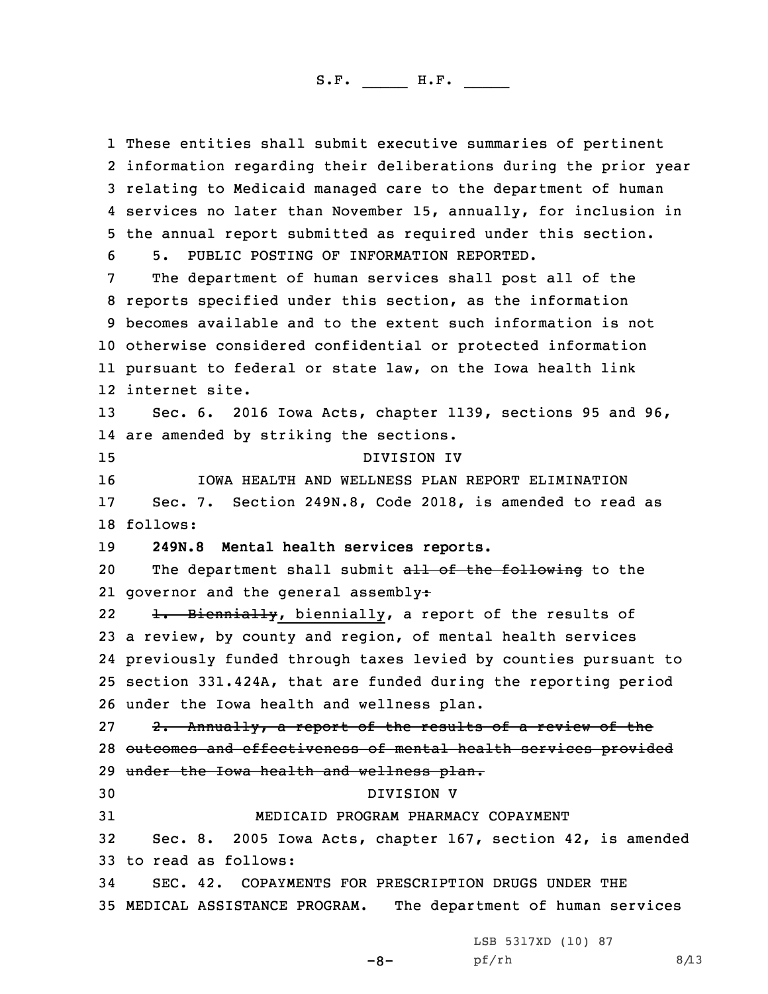These entities shall submit executive summaries of pertinent information regarding their deliberations during the prior year relating to Medicaid managed care to the department of human services no later than November 15, annually, for inclusion in the annual report submitted as required under this section. 5. PUBLIC POSTING OF INFORMATION REPORTED. The department of human services shall post all of the reports specified under this section, as the information becomes available and to the extent such information is not otherwise considered confidential or protected information pursuant to federal or state law, on the Iowa health link internet site. Sec. 6. 2016 Iowa Acts, chapter 1139, sections 95 and 96, are amended by striking the sections. DIVISION IV IOWA HEALTH AND WELLNESS PLAN REPORT ELIMINATION Sec. 7. Section 249N.8, Code 2018, is amended to read as 18 follows: **249N.8 Mental health services reports.** 20 The department shall submit all of the following to the 21 governor and the general assembly: 22 1. Biennially, biennially, <sup>a</sup> report of the results of <sup>a</sup> review, by county and region, of mental health services previously funded through taxes levied by counties pursuant to section 331.424A, that are funded during the reporting period under the Iowa health and wellness plan. 27 2. Annually, a report of the results of a review of the outcomes and effectiveness of mental health services provided 29 under the Iowa health and wellness plan. DIVISION V MEDICAID PROGRAM PHARMACY COPAYMENT Sec. 8. 2005 Iowa Acts, chapter 167, section 42, is amended to read as follows: SEC. 42. COPAYMENTS FOR PRESCRIPTION DRUGS UNDER THE MEDICAL ASSISTANCE PROGRAM. The department of human services

LSB 5317XD (10) 87

-8-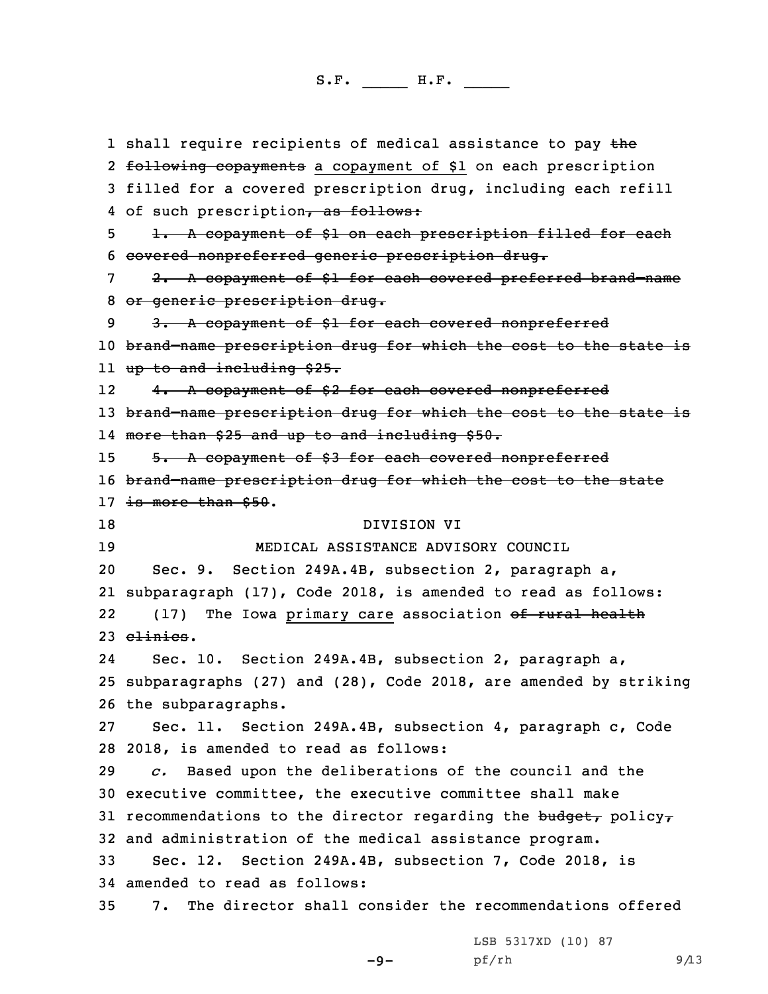1 shall require recipients of medical assistance to pay the 2 <del>following copayments</del> a copayment of \$1 on each prescription 3 filled for <sup>a</sup> covered prescription drug, including each refill 4 of such prescription, as follows: 5 1. A copayment of \$1 on each prescription filled for each 6 covered nonpreferred generic prescription drug. 7 2. <sup>A</sup> copayment of \$1 for each covered preferred brand–name 8 or generic prescription drug. 9 3. A copayment of \$1 for each covered nonpreferred 10 brand–name prescription drug for which the cost to the state is 11 up to and including \$25. 12 4. <sup>A</sup> copayment of \$2 for each covered nonpreferred 13 brand-name prescription drug for which the cost to the state is 14 more than \$25 and up to and including \$50. 15 5. A copayment of \$3 for each covered nonpreferred 16 brand-name prescription drug for which the cost to the state 17 is more than \$50. 18 DIVISION VI 19 MEDICAL ASSISTANCE ADVISORY COUNCIL 20 Sec. 9. Section 249A.4B, subsection 2, paragraph a, 21 subparagraph (17), Code 2018, is amended to read as follows: 22(17) The Iowa primary care association of rural health 23 clinics. 24 Sec. 10. Section 249A.4B, subsection 2, paragraph a, 25 subparagraphs (27) and (28), Code 2018, are amended by striking 26 the subparagraphs. 27 Sec. 11. Section 249A.4B, subsection 4, paragraph c, Code 28 2018, is amended to read as follows: 29 *c.* Based upon the deliberations of the council and the 30 executive committee, the executive committee shall make 31 recommendations to the director regarding the budget, policy, 32 and administration of the medical assistance program. 33 Sec. 12. Section 249A.4B, subsection 7, Code 2018, is 34 amended to read as follows: 35 7. The director shall consider the recommendations offered

-9-

LSB 5317XD (10) 87  $pf/rh$  9/13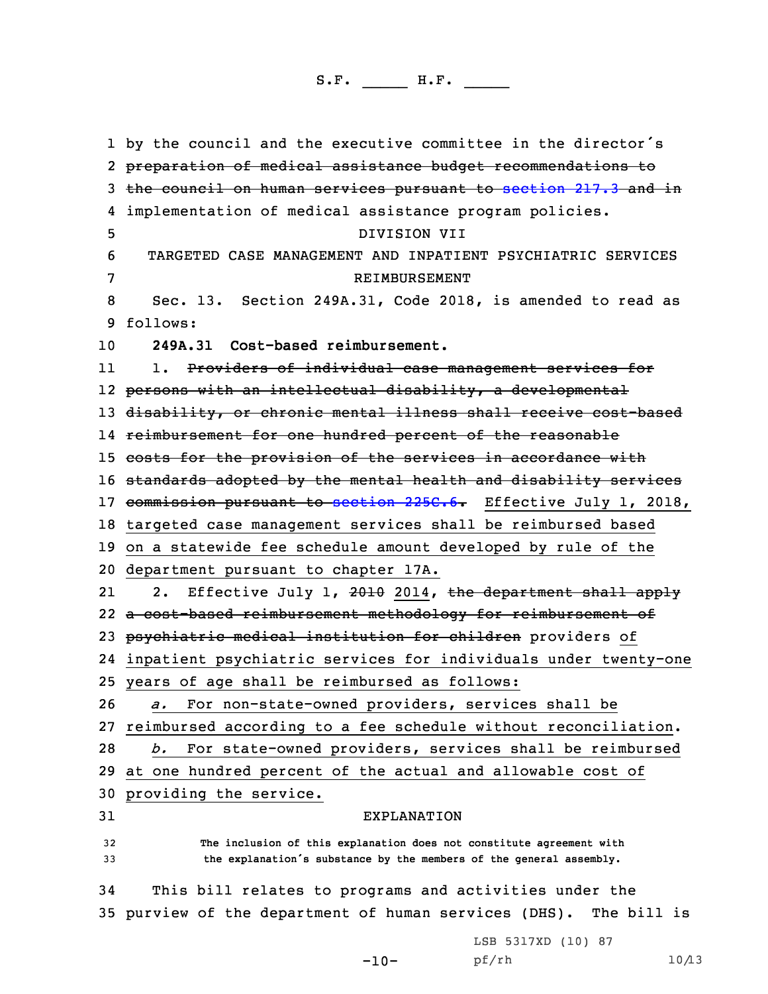by the council and the executive committee in the director's preparation of medical assistance budget recommendations to the council on human services pursuant to [section](https://www.legis.iowa.gov/docs/code/2018/217.3.pdf) 217.3 and in implementation of medical assistance program policies. DIVISION VII TARGETED CASE MANAGEMENT AND INPATIENT PSYCHIATRIC SERVICES REIMBURSEMENT Sec. 13. Section 249A.31, Code 2018, is amended to read as 9 follows: **249A.31 Cost-based reimbursement.** 11 1. Providers of individual case management services for persons with an intellectual disability, <sup>a</sup> developmental disability, or chronic mental illness shall receive cost-based reimbursement for one hundred percent of the reasonable 15 costs for the provision of the services in accordance with 16 standards adopted by the mental health and disability services 17 commission pursuant to [section](https://www.legis.iowa.gov/docs/code/2018/225C.6.pdf) 225C.6. Effective July 1, 2018, targeted case management services shall be reimbursed based on <sup>a</sup> statewide fee schedule amount developed by rule of the department pursuant to chapter 17A. 212. Effective July 1, 2010 2014, the department shall apply <sup>a</sup> cost-based reimbursement methodology for reimbursement of 23 psychiatric medical institution for children providers of inpatient psychiatric services for individuals under twenty-one years of age shall be reimbursed as follows: *a.* For non-state-owned providers, services shall be reimbursed according to <sup>a</sup> fee schedule without reconciliation. *b.* For state-owned providers, services shall be reimbursed at one hundred percent of the actual and allowable cost of providing the service. EXPLANATION **The inclusion of this explanation does not constitute agreement with the explanation's substance by the members of the general assembly.** This bill relates to programs and activities under the purview of the department of human services (DHS). The bill is LSB 5317XD (10) 87

-10-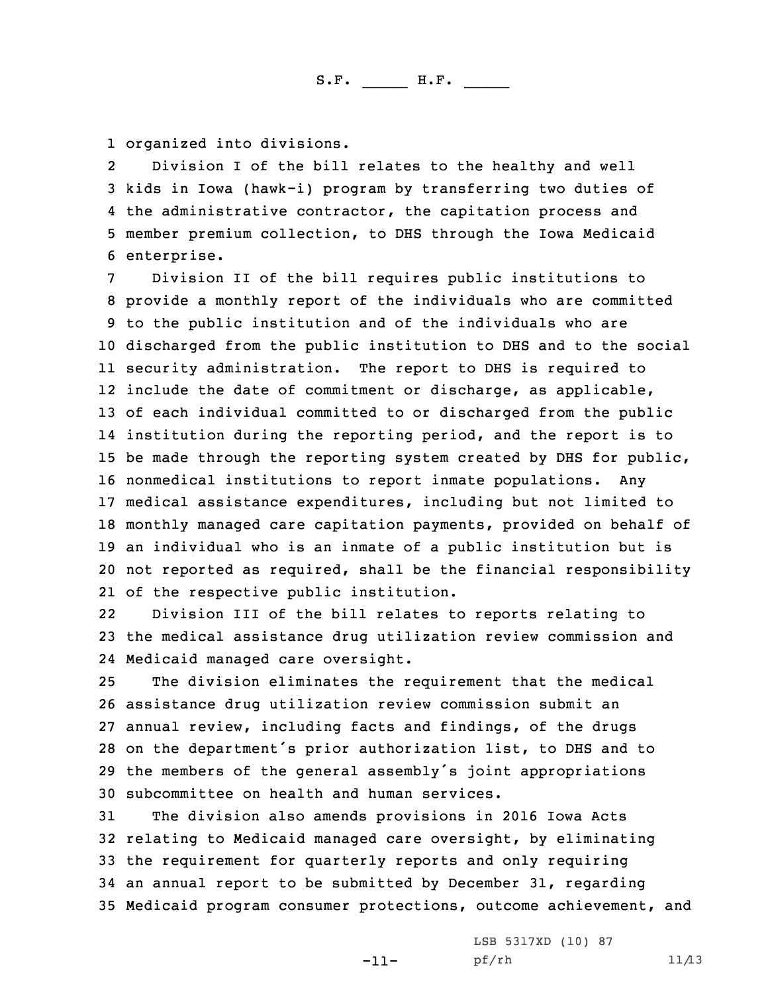1 organized into divisions.

2 Division <sup>I</sup> of the bill relates to the healthy and well kids in Iowa (hawk-i) program by transferring two duties of the administrative contractor, the capitation process and member premium collection, to DHS through the Iowa Medicaid enterprise.

 Division II of the bill requires public institutions to provide <sup>a</sup> monthly report of the individuals who are committed to the public institution and of the individuals who are discharged from the public institution to DHS and to the social security administration. The report to DHS is required to include the date of commitment or discharge, as applicable, of each individual committed to or discharged from the public institution during the reporting period, and the report is to be made through the reporting system created by DHS for public, nonmedical institutions to report inmate populations. Any medical assistance expenditures, including but not limited to monthly managed care capitation payments, provided on behalf of an individual who is an inmate of <sup>a</sup> public institution but is not reported as required, shall be the financial responsibility of the respective public institution.

22 Division III of the bill relates to reports relating to 23 the medical assistance drug utilization review commission and 24 Medicaid managed care oversight.

 The division eliminates the requirement that the medical assistance drug utilization review commission submit an annual review, including facts and findings, of the drugs on the department's prior authorization list, to DHS and to the members of the general assembly's joint appropriations subcommittee on health and human services.

 The division also amends provisions in 2016 Iowa Acts relating to Medicaid managed care oversight, by eliminating the requirement for quarterly reports and only requiring an annual report to be submitted by December 31, regarding Medicaid program consumer protections, outcome achievement, and

-11-

LSB 5317XD (10) 87 pf/rh 11/13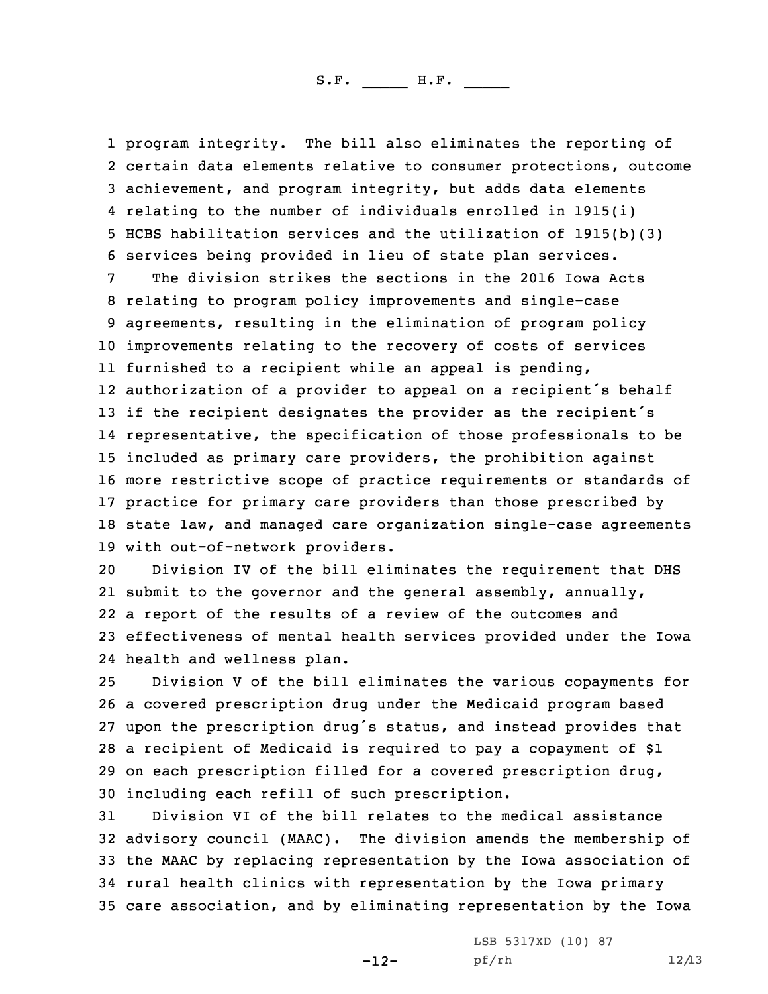program integrity. The bill also eliminates the reporting of certain data elements relative to consumer protections, outcome achievement, and program integrity, but adds data elements relating to the number of individuals enrolled in 1915(i) HCBS habilitation services and the utilization of 1915(b)(3) services being provided in lieu of state plan services.

 The division strikes the sections in the 2016 Iowa Acts relating to program policy improvements and single-case agreements, resulting in the elimination of program policy improvements relating to the recovery of costs of services furnished to <sup>a</sup> recipient while an appeal is pending, authorization of <sup>a</sup> provider to appeal on <sup>a</sup> recipient's behalf 13 if the recipient designates the provider as the recipient's representative, the specification of those professionals to be included as primary care providers, the prohibition against more restrictive scope of practice requirements or standards of practice for primary care providers than those prescribed by state law, and managed care organization single-case agreements with out-of-network providers.

 Division IV of the bill eliminates the requirement that DHS 21 submit to the governor and the general assembly, annually, <sup>a</sup> report of the results of <sup>a</sup> review of the outcomes and effectiveness of mental health services provided under the Iowa health and wellness plan.

 Division <sup>V</sup> of the bill eliminates the various copayments for <sup>a</sup> covered prescription drug under the Medicaid program based upon the prescription drug's status, and instead provides that <sup>a</sup> recipient of Medicaid is required to pay <sup>a</sup> copayment of \$1 on each prescription filled for <sup>a</sup> covered prescription drug, including each refill of such prescription.

 Division VI of the bill relates to the medical assistance advisory council (MAAC). The division amends the membership of the MAAC by replacing representation by the Iowa association of rural health clinics with representation by the Iowa primary care association, and by eliminating representation by the Iowa

-12-

LSB 5317XD (10) 87 pf/rh 12/13